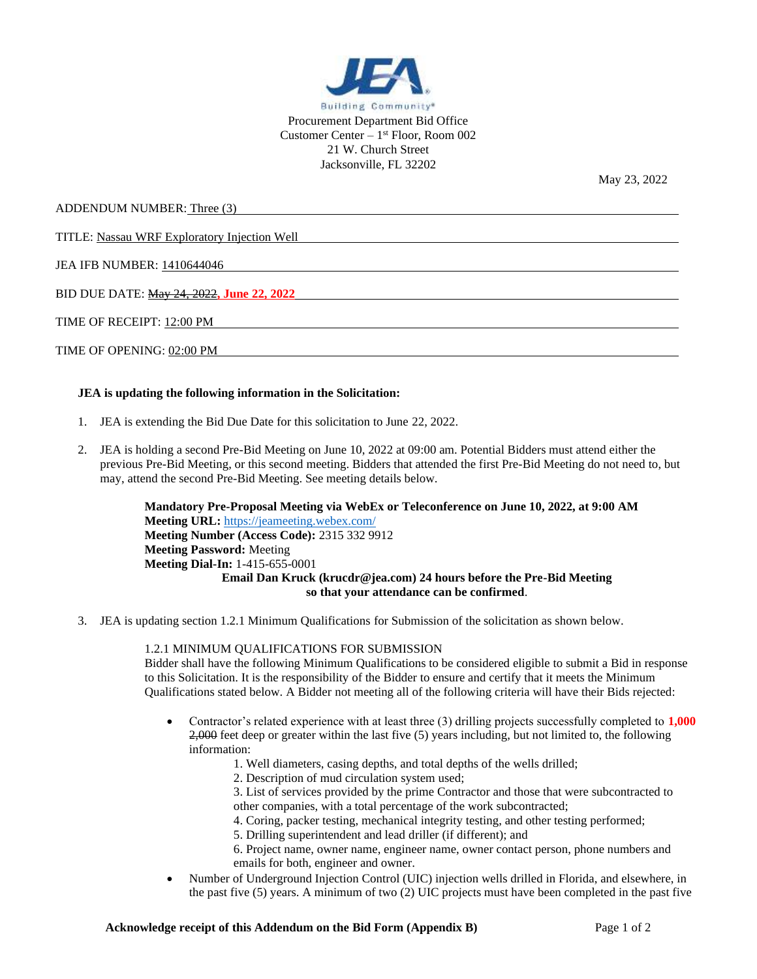

ADDENDUM NUMBER: Three (3)

TITLE: Nassau WRF Exploratory Injection Well

JEA IFB NUMBER: 1410644046

BID DUE DATE: May 24, 2022**, June 22, 2022**

TIME OF RECEIPT: 12:00 PM

TIME OF OPENING: 02:00 PM

## **JEA is updating the following information in the Solicitation:**

- 1. JEA is extending the Bid Due Date for this solicitation to June 22, 2022.
- 2. JEA is holding a second Pre-Bid Meeting on June 10, 2022 at 09:00 am. Potential Bidders must attend either the previous Pre-Bid Meeting, or this second meeting. Bidders that attended the first Pre-Bid Meeting do not need to, but may, attend the second Pre-Bid Meeting. See meeting details below.

**Mandatory Pre-Proposal Meeting via WebEx or Teleconference on June 10, 2022, at 9:00 AM Meeting URL:** <https://jeameeting.webex.com/> **Meeting Number (Access Code):** 2315 332 9912 **Meeting Password:** Meeting **Meeting Dial-In:** 1-415-655-0001 **Email Dan Kruck (krucdr@jea.com) 24 hours before the Pre-Bid Meeting so that your attendance can be confirmed**.

3. JEA is updating section 1.2.1 Minimum Qualifications for Submission of the solicitation as shown below.

1.2.1 MINIMUM QUALIFICATIONS FOR SUBMISSION

Bidder shall have the following Minimum Qualifications to be considered eligible to submit a Bid in response to this Solicitation. It is the responsibility of the Bidder to ensure and certify that it meets the Minimum Qualifications stated below. A Bidder not meeting all of the following criteria will have their Bids rejected:

- Contractor's related experience with at least three (3) drilling projects successfully completed to **1,000**  2,000 feet deep or greater within the last five (5) years including, but not limited to, the following information:
	- 1. Well diameters, casing depths, and total depths of the wells drilled;
	- 2. Description of mud circulation system used;
	- 3. List of services provided by the prime Contractor and those that were subcontracted to other companies, with a total percentage of the work subcontracted;
	- 4. Coring, packer testing, mechanical integrity testing, and other testing performed;
	- 5. Drilling superintendent and lead driller (if different); and
	- 6. Project name, owner name, engineer name, owner contact person, phone numbers and emails for both, engineer and owner.
- Number of Underground Injection Control (UIC) injection wells drilled in Florida, and elsewhere, in the past five (5) years. A minimum of two (2) UIC projects must have been completed in the past five

May 23, 2022